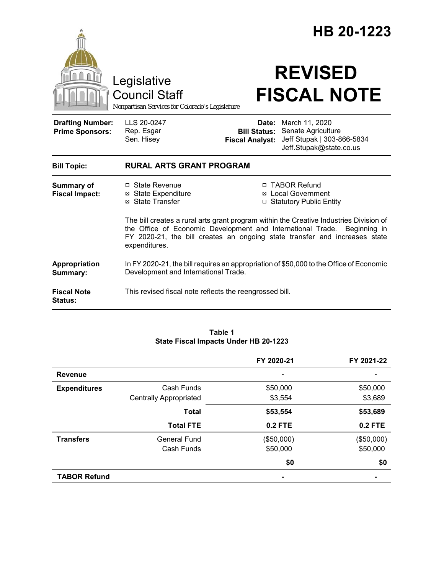|                                                   |                                                                                                                                                                                                                                                                   | HB 20-1223             |                                                                                                                                |  |
|---------------------------------------------------|-------------------------------------------------------------------------------------------------------------------------------------------------------------------------------------------------------------------------------------------------------------------|------------------------|--------------------------------------------------------------------------------------------------------------------------------|--|
|                                                   | Legislative<br><b>Council Staff</b><br>Nonpartisan Services for Colorado's Legislature                                                                                                                                                                            |                        | <b>REVISED</b><br><b>FISCAL NOTE</b>                                                                                           |  |
| <b>Drafting Number:</b><br><b>Prime Sponsors:</b> | LLS 20-0247<br>Rep. Esgar<br>Sen. Hisey                                                                                                                                                                                                                           | <b>Fiscal Analyst:</b> | <b>Date:</b> March 11, 2020<br><b>Bill Status: Senate Agriculture</b><br>Jeff Stupak   303-866-5834<br>Jeff.Stupak@state.co.us |  |
| <b>Bill Topic:</b>                                | <b>RURAL ARTS GRANT PROGRAM</b>                                                                                                                                                                                                                                   |                        |                                                                                                                                |  |
| <b>Summary of</b><br><b>Fiscal Impact:</b>        | □ State Revenue<br><b>⊠</b> State Expenditure<br>⊠ State Transfer                                                                                                                                                                                                 |                        | □ TABOR Refund<br>⊠ Local Government<br>□ Statutory Public Entity                                                              |  |
|                                                   | The bill creates a rural arts grant program within the Creative Industries Division of<br>the Office of Economic Development and International Trade. Beginning in<br>FY 2020-21, the bill creates an ongoing state transfer and increases state<br>expenditures. |                        |                                                                                                                                |  |
| Appropriation<br>Summary:                         | In FY 2020-21, the bill requires an appropriation of \$50,000 to the Office of Economic<br>Development and International Trade.                                                                                                                                   |                        |                                                                                                                                |  |
| <b>Fiscal Note</b><br><b>Status:</b>              | This revised fiscal note reflects the reengrossed bill.                                                                                                                                                                                                           |                        |                                                                                                                                |  |

#### **Table 1 State Fiscal Impacts Under HB 20-1223**

|                     |                               | FY 2020-21 | FY 2021-22 |
|---------------------|-------------------------------|------------|------------|
| <b>Revenue</b>      |                               |            |            |
| <b>Expenditures</b> | Cash Funds                    | \$50,000   | \$50,000   |
|                     | <b>Centrally Appropriated</b> | \$3,554    | \$3,689    |
|                     | <b>Total</b>                  | \$53,554   | \$53,689   |
|                     | <b>Total FTE</b>              | 0.2 FTE    | 0.2 FTE    |
| <b>Transfers</b>    | <b>General Fund</b>           | (\$50,000) | (\$50,000) |
|                     | Cash Funds                    | \$50,000   | \$50,000   |
|                     |                               | \$0        | \$0        |
| <b>TABOR Refund</b> |                               |            |            |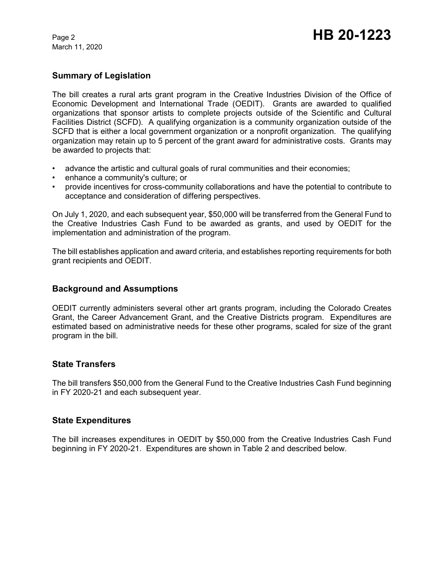March 11, 2020

## **Summary of Legislation**

The bill creates a rural arts grant program in the Creative Industries Division of the Office of Economic Development and International Trade (OEDIT). Grants are awarded to qualified organizations that sponsor artists to complete projects outside of the Scientific and Cultural Facilities District (SCFD). A qualifying organization is a community organization outside of the SCFD that is either a local government organization or a nonprofit organization. The qualifying organization may retain up to 5 percent of the grant award for administrative costs. Grants may be awarded to projects that:

- advance the artistic and cultural goals of rural communities and their economies;
- enhance a community's culture; or
- provide incentives for cross-community collaborations and have the potential to contribute to acceptance and consideration of differing perspectives.

On July 1, 2020, and each subsequent year, \$50,000 will be transferred from the General Fund to the Creative Industries Cash Fund to be awarded as grants, and used by OEDIT for the implementation and administration of the program.

The bill establishes application and award criteria, and establishes reporting requirements for both grant recipients and OEDIT.

#### **Background and Assumptions**

OEDIT currently administers several other art grants program, including the Colorado Creates Grant, the Career Advancement Grant, and the Creative Districts program. Expenditures are estimated based on administrative needs for these other programs, scaled for size of the grant program in the bill.

#### **State Transfers**

The bill transfers \$50,000 from the General Fund to the Creative Industries Cash Fund beginning in FY 2020-21 and each subsequent year.

#### **State Expenditures**

The bill increases expenditures in OEDIT by \$50,000 from the Creative Industries Cash Fund beginning in FY 2020-21. Expenditures are shown in Table 2 and described below.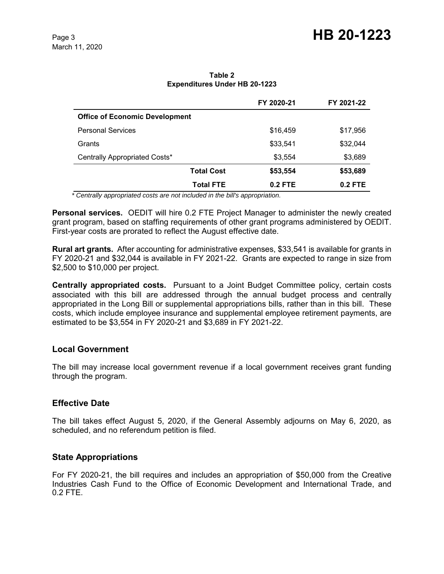**Table 2 Expenditures Under HB 20-1223**

|                                       | FY 2020-21 | FY 2021-22 |
|---------------------------------------|------------|------------|
| <b>Office of Economic Development</b> |            |            |
| <b>Personal Services</b>              | \$16,459   | \$17,956   |
| Grants                                | \$33,541   | \$32,044   |
| Centrally Appropriated Costs*         | \$3,554    | \$3,689    |
| <b>Total Cost</b>                     | \$53,554   | \$53,689   |
| <b>Total FTE</b>                      | $0.2$ FTE  | $0.2$ FTE  |

*\* Centrally appropriated costs are not included in the bill's appropriation.*

**Personal services.** OEDIT will hire 0.2 FTE Project Manager to administer the newly created grant program, based on staffing requirements of other grant programs administered by OEDIT. First-year costs are prorated to reflect the August effective date.

**Rural art grants.** After accounting for administrative expenses, \$33,541 is available for grants in FY 2020-21 and \$32,044 is available in FY 2021-22. Grants are expected to range in size from \$2,500 to \$10,000 per project.

**Centrally appropriated costs.** Pursuant to a Joint Budget Committee policy, certain costs associated with this bill are addressed through the annual budget process and centrally appropriated in the Long Bill or supplemental appropriations bills, rather than in this bill. These costs, which include employee insurance and supplemental employee retirement payments, are estimated to be \$3,554 in FY 2020-21 and \$3,689 in FY 2021-22.

#### **Local Government**

The bill may increase local government revenue if a local government receives grant funding through the program.

#### **Effective Date**

The bill takes effect August 5, 2020, if the General Assembly adjourns on May 6, 2020, as scheduled, and no referendum petition is filed.

#### **State Appropriations**

For FY 2020-21, the bill requires and includes an appropriation of \$50,000 from the Creative Industries Cash Fund to the Office of Economic Development and International Trade, and 0.2 FTE.